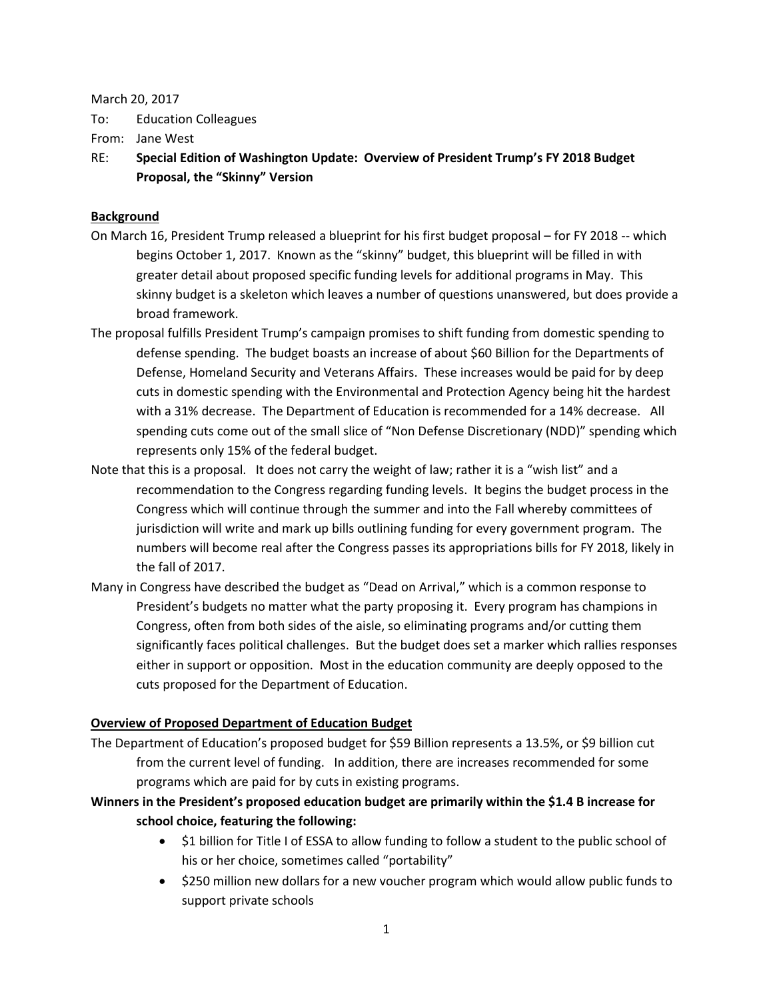#### March 20, 2017

To: Education Colleagues

From: Jane West

RE: **Special Edition of Washington Update: Overview of President Trump's FY 2018 Budget Proposal, the "Skinny" Version**

### **Background**

- On March 16, President Trump released a blueprint for his first budget proposal for FY 2018 -- which begins October 1, 2017. Known as the "skinny" budget, this blueprint will be filled in with greater detail about proposed specific funding levels for additional programs in May. This skinny budget is a skeleton which leaves a number of questions unanswered, but does provide a broad framework.
- The proposal fulfills President Trump's campaign promises to shift funding from domestic spending to defense spending. The budget boasts an increase of about \$60 Billion for the Departments of Defense, Homeland Security and Veterans Affairs. These increases would be paid for by deep cuts in domestic spending with the Environmental and Protection Agency being hit the hardest with a 31% decrease. The Department of Education is recommended for a 14% decrease. All spending cuts come out of the small slice of "Non Defense Discretionary (NDD)" spending which represents only 15% of the federal budget.
- Note that this is a proposal. It does not carry the weight of law; rather it is a "wish list" and a recommendation to the Congress regarding funding levels. It begins the budget process in the Congress which will continue through the summer and into the Fall whereby committees of jurisdiction will write and mark up bills outlining funding for every government program. The numbers will become real after the Congress passes its appropriations bills for FY 2018, likely in the fall of 2017.
- Many in Congress have described the budget as "Dead on Arrival," which is a common response to President's budgets no matter what the party proposing it. Every program has champions in Congress, often from both sides of the aisle, so eliminating programs and/or cutting them significantly faces political challenges. But the budget does set a marker which rallies responses either in support or opposition. Most in the education community are deeply opposed to the cuts proposed for the Department of Education.

### **Overview of Proposed Department of Education Budget**

The Department of Education's proposed budget for \$59 Billion represents a 13.5%, or \$9 billion cut from the current level of funding. In addition, there are increases recommended for some programs which are paid for by cuts in existing programs.

# **Winners in the President's proposed education budget are primarily within the \$1.4 B increase for school choice, featuring the following:**

- \$1 billion for Title I of ESSA to allow funding to follow a student to the public school of his or her choice, sometimes called "portability"
- \$250 million new dollars for a new voucher program which would allow public funds to support private schools